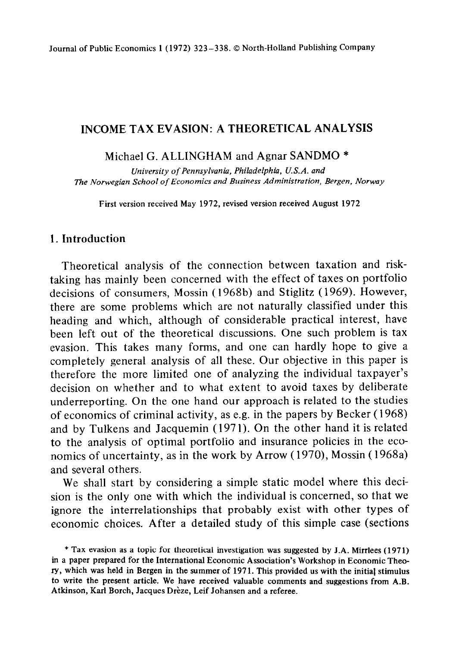## INCOME TAX EVASION: A THEORETICAL ANALYSIS

Michael G. ALLINGHAM and Agnar SANDMO \*

*University of Pennsylvania, Philadelphia, U.S.A. and The Norwegian School of Economics and Business Administration, Bergen, Norway* 

First version received May 1972, revised version received August 1972

# 1. Introduction

Theoretical analysis of the connection between taxation and risktaking has mainly been concerned with the effect of taxes on portfolio decisions of consumers, Mossin (1968b) and Stiglitz (1969). However, there are some problems which are not naturally classified under this heading and which, although of considerable practical interest, have been left out of the theoretical discussions. One such problem is tax evasion. This takes many forms, and one can hardly hope to give a completely general analysis of all these. Our objective in this paper is therefore the more limited one of analyzing the individual taxpayer's decision on whether and to what extent to avoid taxes by deliberate underreporting. On the one hand our approach is related to the studies of economics of criminal activity, as e.g. in the papers by Becker ( 1968) and by Tulkens and Jacquemin (197 1). On the other hand it is related to the analysis of optimal portfolio and insurance policies in the economics of uncertainty, as in the work by Arrow ( 1970), Mossin ( 1968a) and several others.

We shall start by considering a simple static model where this decision is the only one with which the individual is concerned, so that we ignore the interrelationships that probably exist with other types of economic choices. After a detailed study of this simple case (sections

<sup>\*</sup> Tax evasion as a topic for theoretical investigation was suggested by J.A. Mirrlees (1971) in a paper prepared for the International Economic Association's Workshop in Economic Theory, which was held in Bergen in the summer of 1971. This provided us with the initial stimulus to write the present article. We have received valuable comments and suggestions from A.B. Atkinson, Karl Borch, Jacques Drèze, Leif Johansen and a referee.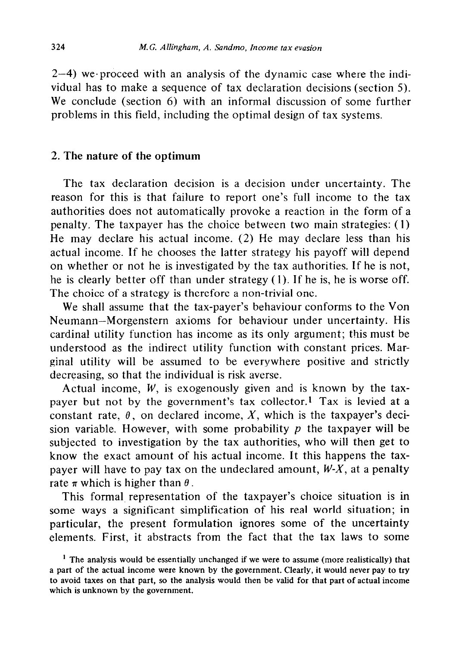2-4) we.proceed with an analysis of the dynamic case where the individual has to make a sequence of tax declaration decisions (section 5). We conclude (section 6) with an informal discussion of some further problems in this field, including the optimal design of tax systems.

## 2. **The nature of the optimum**

The tax declaration decision is a decision under uncertainty. The reason for this is that failure to report one's full income to the tax authorities does not automatically provoke a reaction in the form of a penalty. The taxpayer has the choice between two main strategies: (1) He may declare his actual income. (2) He may declare less than his actual income. If he chooses the latter strategy his payoff will depend on whether or not he is investigated by the tax authorities. If he is not, he is clearly better off than under strategy (1). If he is, he is worse off. The choice of a strategy is therefore a non-trivial one.

We shall assume that the tax-payer's behaviour conforms to the Von Neumann-Morgenstern axioms for behaviour under uncertainty. His cardinal utility function has income as its only argument; this must be understood as the indirect utility function with constant prices. Marginal utility will be assumed to be everywhere positive and strictly decreasing, so that the individual is risk averse.

Actual income, *W,* is exogenously given and is known by the taxpayer but not by the government's tax collector.1 Tax is levied at a constant rate,  $\theta$ , on declared income, X, which is the taxpayer's decision variable. However, with some probability  $p$  the taxpayer will be subjected to investigation by the tax authorities, who will then get to know the exact amount of his actual income. It this happens the taxpayer will have to pay tax on the undeclared amount, *W-X,* at a penalty rate  $\pi$  which is higher than  $\theta$ .

This formal representation of the taxpayer's choice situation is in some ways a significant simplification of his real world situation; in particular, the present formulation ignores some of the uncertainty elements. First, it abstracts from the fact that the tax laws to some

<sup>&</sup>lt;sup>1</sup> The analysis would be essentially unchanged if we were to assume (more realistically) that a part of the actual income were known by the government. Clearly, it would never pay to try to avoid taxes on that part, so the analysis would then be valid for that part of actual income which is unknown by the government.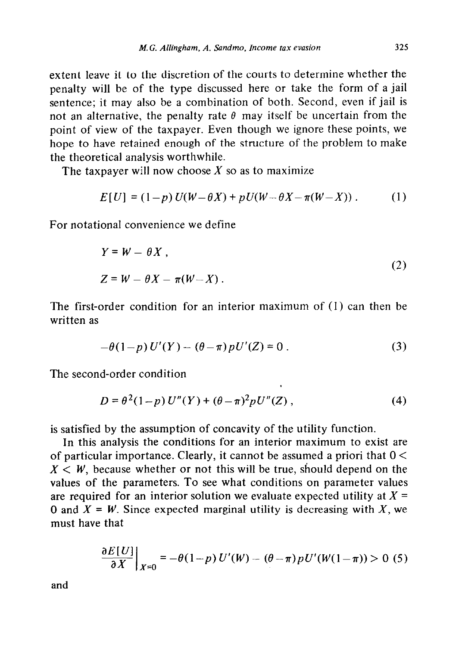extent leave it to the discretion of the courts to determine whether the penalty will be of the type discussed here or take the form of a jail sentence; it may also be a combination of both. Second, even if jail is not an alternative, the penalty rate  $\theta$  may itself be uncertain from the point of view of the taxpayer. Even though we ignore these points, we hope to have retained enough of the structure of the problem to make the theoretical analysis worthwhile.

The taxpayer will now choose  $X$  so as to maximize

$$
E[U] = (1-p)U(W - \theta X) + pU(W - \theta X - \pi(W - X)). \tag{1}
$$

For notational convenience we define

$$
Y = W - \theta X ,
$$
  
\n
$$
Z = W - \theta X - \pi (W - X) .
$$
\n(2)

The first-order condition for an interior maximum of (1) can then be written as

$$
-\theta(1-p) U'(Y) - (\theta - \pi) p U'(Z) = 0.
$$
 (3)

The second-order condition

$$
D = \theta^2 (1 - p) U''(Y) + (\theta - \pi)^2 p U''(Z) , \qquad (4)
$$

is satisfied by the assumption of concavity of the utility function.

In this analysis the conditions for an interior maximum to exist are of particular importance. Clearly, it cannot be assumed a priori that  $0 <$  $X \leq W$ , because whether or not this will be true, should depend on the values of the parameters. To see what conditions on parameter values are required for an interior solution we evaluate expected utility at  $X =$ 0 and  $X = W$ . Since expected marginal utility is decreasing with X, we must have that

$$
\frac{\partial E[U]}{\partial X}\bigg|_{X=0} = -\theta(1-p)U'(W) - (\theta - \pi)pU'(W(1-\pi)) > 0 \tag{5}
$$

and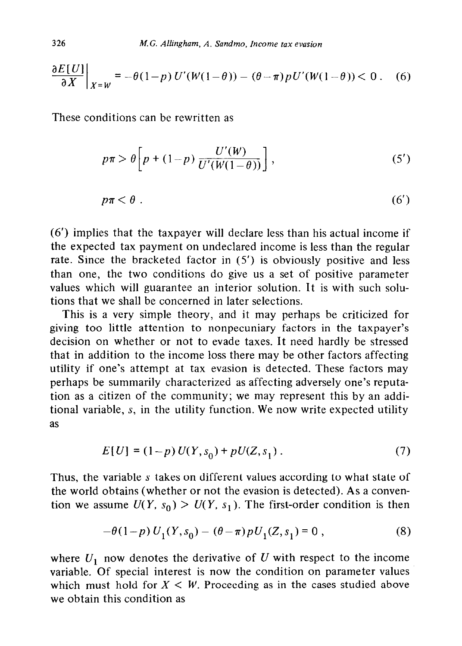$$
\frac{\partial E[U]}{\partial X}\bigg|_{X=W} = -\theta(1-p)U'(W(1-\theta)) - (\theta-\pi)pU'(W(1-\theta)) < 0. \tag{6}
$$

These conditions can be rewritten as

$$
p\pi > \theta \left[ p + (1-p) \frac{U'(W)}{U'(W(1-\theta))} \right],
$$
 (5')

$$
p\pi < \theta \tag{6'}
$$

(6') implies that the taxpayer will declare less than his actual income if the expected tax payment on undeclared income is less than the regular rate. Since the bracketed factor in (5') is obviously positive and less than one, the two conditions do give us a set of positive parameter values which will guarantee an interior solution. It is with such solutions that we shall be concerned in later selections.

This is a very simple theory, and it may perhaps be criticized for giving too little attention to nonpecuniary factors in the taxpayer's decision on whether or not to evade taxes. It need hardly be stressed that in addition to the income loss there may be other factors affecting utility if one's attempt at tax evasion is detected. These factors may perhaps be summarily characterized as affecting adversely one's reputation as a citizen of the community; we may represent this by an additional variable, s, in the utility function. We now write expected utility as

$$
E[U] = (1-p)U(Y, s_0) + pU(Z, s_1).
$$
 (7)

Thus, the variable s takes on different values according to what state of the world obtains (whether or not the evasion is detected). As a convention we assume  $U(Y, s_0) > U(Y, s_1)$ . The first-order condition is then

$$
-\theta(1-p) U_1(Y, s_0) - (\theta - \pi) p U_1(Z, s_1) = 0 , \qquad (8)
$$

where  $U_1$  now denotes the derivative of U with respect to the income variable. Of special interest is now the condition on parameter values which must hold for  $X \leq W$ . Proceeding as in the cases studied above we obtain this condition as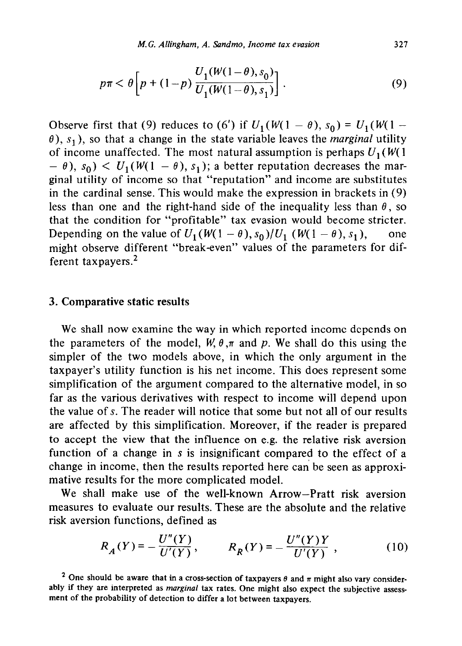$$
p\pi < \theta \left[ p + (1-p) \frac{U_1(W(1-\theta), s_0)}{U_1(W(1-\theta), s_1)} \right]. \tag{9}
$$

Observe first that (9) reduces to (6') if  $U_1(W(1 - \theta), s_0) = U_1(W(1 - \theta))$  $\theta$ ),  $s_1$ ), so that a change in the state variable leaves the *marginal* utility of income unaffected. The most natural assumption is perhaps  $U_1(W(1))$  $(-\theta)$ ,  $s_0$   $\lt U_1(W(1-\theta), s_1)$ ; a better reputation decreases the marginal utility of income so that "reputation" and income are substitutes in the cardinal sense. This would make the expression in brackets in (9) less than one and the right-hand side of the inequality less than  $\theta$ , so that the condition for "profitable" tax evasion would become stricter. Depending on the value of  $U_1(W(1 - \theta), s_0)/U_1(W(1 - \theta), s_1)$ , one might observe different "break-even" values of the parameters for different taxpayers.<sup>2</sup>

## 3. **Comparative static results**

We shall now examine the way in which reported income depends on the parameters of the model,  $W, \theta, \pi$  and p. We shall do this using the simpler of the two models above, in which the only argument in the taxpayer's utility function is his net income. This does represent some simplification of the argument compared to the alternative model, in so far as the various derivatives with respect to income will depend upon the value of s. The reader will notice that some but not all of our results are affected by this simplification. Moreover, if the reader is prepared to accept the view that the influence on e.g. the relative risk aversion function of a change in s is insignificant compared to the effect of a change in income, then the results reported here can be seen as approximative results for the more complicated model.

We shall make use of the well-known Arrow-Pratt risk aversion measures to evaluate our results. These are the absolute and the relative risk aversion functions, defined as

$$
R_A(Y) = -\frac{U''(Y)}{U'(Y)}, \qquad R_R(Y) = -\frac{U''(Y)Y}{U'(Y)}, \qquad (10)
$$

<sup>2</sup> One should be aware that in a cross-section of taxpayers  $\theta$  and  $\pi$  might also vary consider**ably if they are interpreted as** *marginal* **tax rates. One might also expect the subjective assessment of the probability of detection to differ a lot between taxpayers.**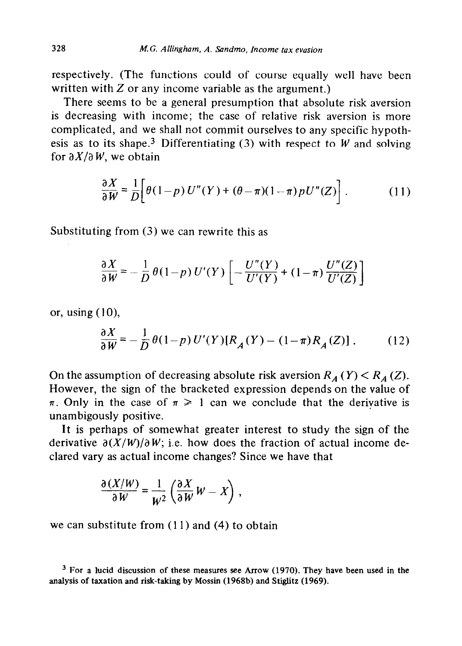respectively. (The functions could of course equally well have been written with  $Z$  or any income variable as the argument.)

There seems to be a general presumption that absolute risk aversion is decreasing with income; the case of relative risk aversion is more complicated, and we shall not commit ourselves to any specific hypothesis as to its shape.<sup>3</sup> Differentiating (3) with respect to *W* and solving for  $\partial X/\partial W$ , we obtain

$$
\frac{\partial X}{\partial W} = \frac{1}{D} \bigg[ \theta(1-p) U''(Y) + (\theta - \pi)(1-\pi) p U''(Z) \bigg]. \tag{11}
$$

Substituting from (3) we can rewrite this as

$$
\frac{\partial X}{\partial W} = -\frac{1}{D} \theta(1-p) U'(Y) \left[ -\frac{U''(Y)}{U'(Y)} + (1-\pi) \frac{U''(Z)}{U'(Z)} \right]
$$

or, using (IO),

$$
\frac{\partial X}{\partial W} = -\frac{1}{D} \theta (1 - p) U'(Y) [R_A(Y) - (1 - \pi) R_A(Z)] \,. \tag{12}
$$

On the assumption of decreasing absolute risk aversion  $R_A(Y) < R_A(Z)$ . However, the sign of the bracketed expression depends on the value of  $\pi$ . Only in the case of  $\pi \geq 1$  can we conclude that the derivative is unambigously positive.

It is perhaps of somewhat greater interest to study the sign of the derivative  $\partial (X/W)/\partial W$ ; i.e. how does the fraction of actual income declared vary as actual income changes? Since we have that

$$
\frac{\partial (X/W)}{\partial W} = \frac{1}{W^2} \left( \frac{\partial X}{\partial W} W - X \right),
$$

we can substitute from (11) and (4) to obtain

**3 For a lucid discussion of these measures see Arrow (1970). They have been used in the analysis of taxation and risk-taking by Mossin (1968b) and Stiglitz (1969).**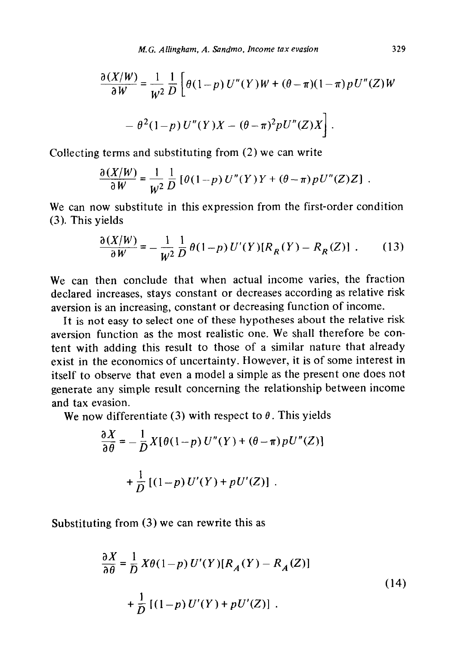*M.G. Allingham, A.* **Sandmo,** *Income tax evasion 329* 

$$
\frac{\partial (X/W)}{\partial W} = \frac{1}{W^2} \frac{1}{D} \left[ \theta (1-p) U''(Y) W + (\theta - \pi)(1 - \pi) p U''(Z) W - \theta^2 (1 - p) U''(Y) X - (\theta - \pi)^2 p U''(Z) X \right].
$$

Collecting terms and substituting from (2) we can write

$$
\frac{\partial (X/W)}{\partial W} = \frac{1}{W^2} \frac{1}{D} \left[ \theta(1-p) \, U''(Y) \, Y + (\theta-\pi) \, p U''(Z) Z \right] \; .
$$

We can now substitute in this expression from the first-order condition (3). This yields

$$
\frac{\partial (X/W)}{\partial W} = -\frac{1}{W^2} \frac{1}{D} \theta (1-p) U'(Y) [R_R(Y) - R_R(Z)] . \tag{13}
$$

We can then conclude that when actual income varies, the fraction declared increases, stays constant or decreases according as relative risk aversion is an increasing, constant or decreasing function of income.

It is not easy to select one of these hypotheses about the relative risk aversion function as the most realistic one. We shall therefore be content with adding this result to those of a similar nature that already exist in the economics of uncertainty. However, it is of some interest in itself to observe that even a model a simple as the present one does not generate any simple result concerning the relationship between income and tax evasion.

We now differentiate (3) with respect to  $\theta$ . This yields

$$
\frac{\partial X}{\partial \theta} = -\frac{1}{D} X [\theta (1-p) U''(Y) + (\theta - \pi) p U''(Z)]
$$

$$
+ \frac{1}{D} [(1-p) U'(Y) + p U'(Z)].
$$

Substituting from (3) we can rewrite this as

$$
\frac{\partial X}{\partial \theta} = \frac{1}{D} X \theta (1 - p) U'(Y) [R_A(Y) - R_A(Z)]
$$
  
+ 
$$
\frac{1}{D} [(1 - p) U'(Y) + pU'(Z)].
$$
 (14)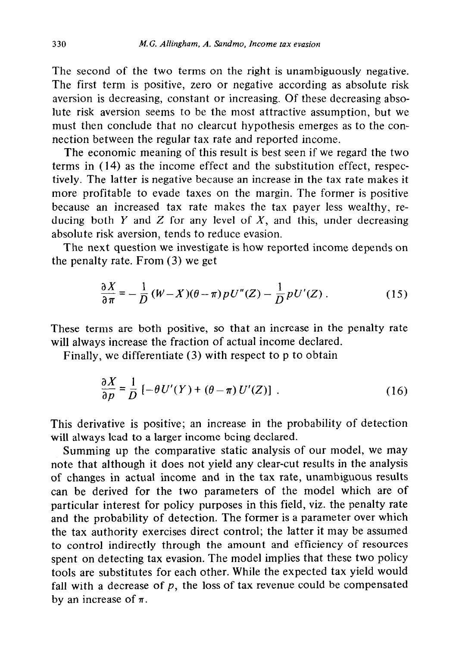The second of the two terms on the right is unambiguously negative. The first term is positive, zero or negative according as absolute risk aversion is decreasing, constant or increasing. Of these decreasing absolute risk aversion seems to be the most attractive assumption, but we must then conclude that no clearcut hypothesis emerges as to the connection between the regular tax rate and reported income.

The economic meaning of this result is best seen if we regard the two terms in (14) as the income effect and the substitution effect, respectively. The latter is negative because an increase in the tax rate makes it more profitable to evade taxes on the margin. The former is positive because an increased tax rate makes the tax payer less wealthy, reducing both Y and Z for any level of  $X$ , and this, under decreasing absolute risk aversion, tends to reduce evasion.

The next question we investigate is how reported income depends on the penalty rate. From (3) we get

$$
\frac{\partial X}{\partial \pi} = -\frac{1}{D} \left( W - X \right) (\theta - \pi) p U''(Z) - \frac{1}{D} p U'(Z) . \tag{15}
$$

These terms are both positive, so that an increase in the penalty rate will always increase the fraction of actual income declared.

Finally, we differentiate (3) with respect to p to obtain

$$
\frac{\partial X}{\partial p} = \frac{1}{D} \left[ -\theta U'(Y) + (\theta - \pi) U'(Z) \right] \,. \tag{16}
$$

This derivative is positive; an increase in the probability of detection will always lead to a larger income being declared.

Summing up the comparative static analysis of our model, we may note that although it does not yield any clear-cut results in the analysis of changes in actual income and in the tax rate, unambiguous results can be derived for the two parameters of the model which are of particular interest for policy purposes in this field, viz. the penalty rate and the probability of detection. The former is a parameter over which the tax authority exercises direct control; the latter it may be assumed to control indirectly through the amount and efficiency of resources spent on detecting tax evasion. The model implies that these two policy tools are substitutes for each other. While the expected tax yield would fall with a decrease of  $p$ , the loss of tax revenue could be compensated by an increase of  $\pi$ .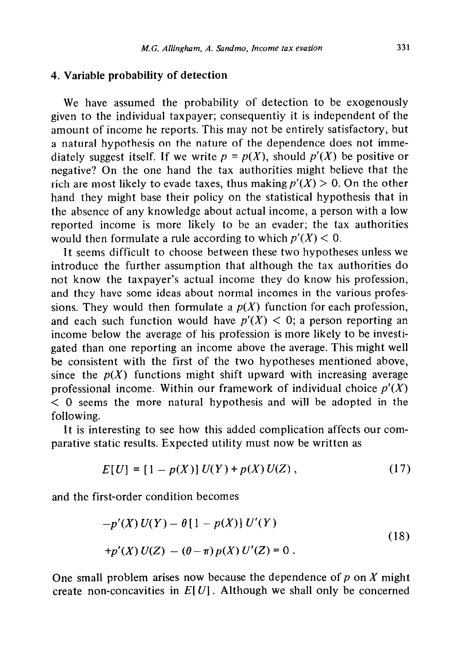#### **4. Variable probability of detection**

We have assumed the probability of detection to be exogenously given to the individual taxpayer; consequentiy it is independent of the amount of income he reports. This may not be entirely satisfactory, but a natural hypothesis on the nature of the dependence does not immediately suggest itself. If we write  $p = p(X)$ , should  $p'(X)$  be positive or negative? On the one hand the tax authorities might believe that the rich are most likely to evade taxes, thus making  $p'(X) > 0$ . On the other hand they might base their policy on the statistical hypothesis that in the absence of any knowledge about actual income, a person with a low reported income is more likely to be an evader; the tax authorities would then formulate a rule according to which  $p'(X) < 0$ .

It seems difficult to choose between these two hypotheses unless we introduce the further assumption that although the tax authorities do not know the taxpayer's actual income they do know his profession, and they have some ideas about normal incomes in the various professions. They would then formulate a  $p(X)$  function for each profession, and each such function would have  $p'(X) < 0$ ; a person reporting an income below the average of his profession is more likely to be investigated than one reporting an income above the average. This might well be consistent with the first of the two hypotheses mentioned above, since the  $p(X)$  functions might shift upward with increasing average professional income. Within our framework of individual choice  $p'(X)$  $\leq$  0 seems the more natural hypothesis and will be adopted in the following.

It is interesting to see how this added complication affects our comparative static results. Expected utility must now be written as

$$
E[U] = [1 - p(X)] U(Y) + p(X) U(Z), \qquad (17)
$$

and the first-order condition becomes

$$
-p'(X) U(Y) - \theta [1 - p(X)] U'(Y)
$$
  
+p'(X) U(Z) - (\theta - \pi) p(X) U'(Z) = 0. (18)

One small problem arises now because the dependence of  $p$  on  $X$  might create non-concavities in  $E[U]$ . Although we shall only be concerned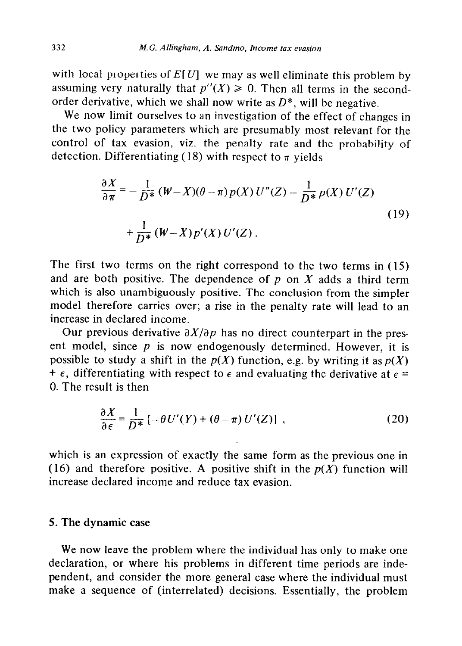with local properties of  $E[U]$  we may as well eliminate this problem by assuming very naturally that  $p''(X) \ge 0$ . Then all terms in the secondorder derivative, which we shall now write as  $D^*$ , will be negative.

We now limit ourselves to an investigation of the effect of changes in the two policy parameters which are presumably most relevant for the control of tax evasion, viz. the penalty rate and the probability of detection. Differentiating (18) with respect to  $\pi$  yields

$$
\frac{\partial X}{\partial \pi} = -\frac{1}{D^*} (W - X)(\theta - \pi) p(X) U''(Z) - \frac{1}{D^*} p(X) U'(Z)
$$
  
+ 
$$
\frac{1}{D^*} (W - X) p'(X) U'(Z).
$$
 (19)

The first two terms on the right correspond to the two terms in (15) and are both positive. The dependence of  $p$  on  $X$  adds a third term which is also unambiguously positive. The conclusion from the simpler model therefore carries over; a rise in the penalty rate will lead to an increase in declared income.

Our previous derivative  $\partial X/\partial p$  has no direct counterpart in the present model, since *p* is now endogenously determined. However, it is possible to study a shift in the  $p(X)$  function, e.g. by writing it as  $p(X)$ *+ e*, differentiating with respect to  $\epsilon$  and evaluating the derivative at  $\epsilon$  = 0. The result is then

$$
\frac{\partial X}{\partial \epsilon} = \frac{1}{D^*} \left[ -\theta U'(Y) + (\theta - \pi) U'(Z) \right] , \qquad (20)
$$

which is an expression of exactly the same form as the previous one in (16) and therefore positive. A positive shift in the  $p(X)$  function will increase declared income and reduce tax evasion.

### **5. The dynamic case**

We now leave the problem where the individual has only to make one declaration, or where his problems in different time periods are independent, and consider the more general case where the individual must make a sequence of (interrelated) decisions. Essentially, the problem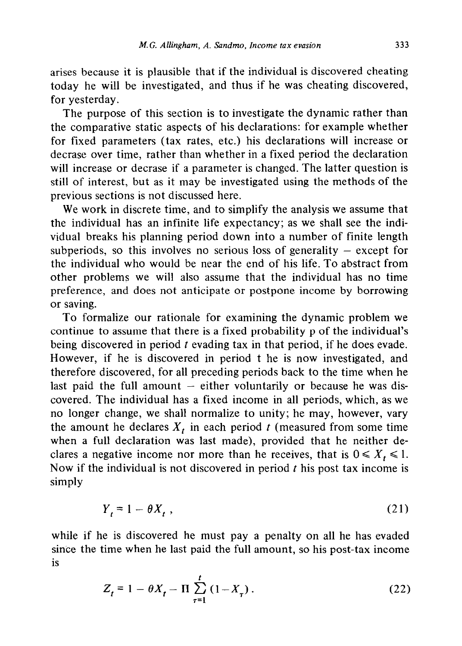arises because it is plausible that if the individual is discovered cheating today he will be investigated, and thus if he was cheating discovered, for yesterday.

The purpose of this section is to investigate the dynamic rather than the comparative static aspects of his declarations: for example whether for fixed parameters (tax rates, etc.) his declarations will increase or decrase over time, rather than whether in a fixed period the declaration will increase or decrase if a parameter is changed. The latter question is still of interest, but as it may be investigated using the methods of the previous sections is not discussed here.

We work in discrete time, and to simplify the analysis we assume that the individual has an infinite life expectancy; as we shall see the individual breaks his planning period down into a number of finite length subperiods, so this involves no serious loss of generality  $-$  except for the individual who would be near the end of his life. To abstract from other problems we will also assume that the individual has no time preference, and does not anticipate or postpone income by borrowing or saving.

To formalize our rationale for examining the dynamic problem we continue to assume that there is a fixed probability p of the individual's being discovered in period  $t$  evading tax in that period, if he does evade. However, if he is discovered in period t he is now investigated, and therefore discovered, for all preceding periods back to the time when he last paid the full amount  $-$  either voluntarily or because he was discovered. The individual has a fixed income in all periods, which, as we no longer change, we shall normalize to unity; he may, however, vary the amount he declares  $X_t$ , in each period t (measured from some time when a full declaration was last made), provided that he neither declares a negative income nor more than he receives, that is  $0 \le X_t \le 1$ . Now if the individual is not discovered in period  $t$  his post tax income is simply

$$
Y_t = 1 - \theta X_t, \qquad (21)
$$

while if he is discovered he must pay a penalty on all he has evaded since the time when he last paid the full amount, so his post-tax income is

$$
Z_t = 1 - \theta X_t - \Pi \sum_{\tau=1}^t (1 - X_\tau). \tag{22}
$$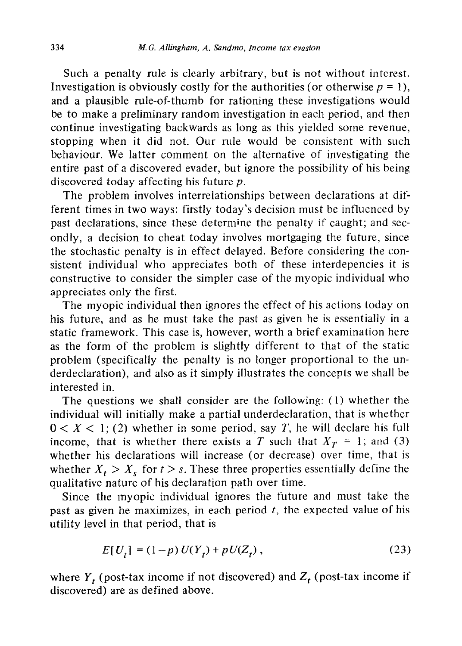Such a penalty rule is clearly arbitrary, but is not without interest. Investigation is obviously costly for the authorities (or otherwise  $p = 1$ ), and a plausible rule-of-thumb for rationing these investigations would be to make a preliminary random investigation in each period, and then continue investigating backwards as long as this yielded some revenue, stopping when it did not. Our rule would be consistent with such behaviour. We latter comment on the alternative of investigating the entire past of a discovered evader, but ignore the possibility of his being discovered today affecting his future p.

The problem involves interrelationships between declarations at different times in two ways: firstly today's decision must be influenced by past declarations, since these determine the penalty if caught; and secondly, a decision to cheat today involves mortgaging the future, since the stochastic penalty is in effect delayed. Before considering the consistent individual who appreciates both of these interdepencies it is constructive to consider the simpler case of the myopic individual who appreciates only the first.

The myopic individual then ignores the effect of his actions today on his future, and as he must take the past as given he is essentially in a static framework. This case is, however, worth a brief examination here as the form of the problem is slightly different to that of the static problem (specifically the penalty is no longer proportional to the underdeclaration), and also as it simply illustrates the concepts we shall be interested in.

The questions we shall consider are the following: ( 1) whether the individual will initially make a partial underdeclaration, that is whether  $0 < X < 1$ ; (2) whether in some period, say *T*, he will declare his full income, that is whether there exists a *T* such that  $X_T = 1$ ; and (3) whether his declarations will increase (or decrease) over time, that is whether  $X_t > X_s$  for  $t > s$ . These three properties essentially define the qualitative nature of his declaration path over time.

Since the myopic individual ignores the future and must take the past as given he maximizes, in each period  $t$ , the expected value of his utility level in that period, that is

$$
E[U_t] = (1-p)U(Y_t) + pU(Z_t),
$$
\n(23)

where  $Y_t$  (post-tax income if not discovered) and  $Z_t$  (post-tax income if discovered) are as defined above.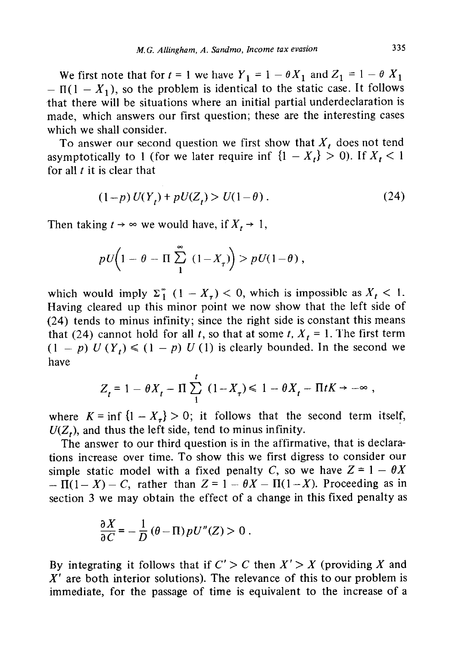We first note that for  $t = 1$  we have  $Y_1 = 1 - \theta X_1$  and  $Z_1 = 1 - \theta X_1$  $-$  II( 1 - X<sub>1</sub>), so the problem is identical to the static case. It follows that there will be situations where an initial partial underdeclaration is made, which answers our first question; these are the interesting cases which we shall consider.

To answer our second question we first show that  $X_t$  does not tend asymptotically to 1 (for we later require inf  $\{1 - X_t\} > 0$ ). If  $X_t < 1$ for all  $t$  it is clear that

$$
(1-p) U(Y_t) + pU(Z_t) > U(1-\theta).
$$
 (24)

Then taking  $t \to \infty$  we would have, if  $X_t \to 1$ ,

$$
pU\left(1-\theta-\Pi\sum_{1}^{\infty}(1-X_{\tau})\right)>pU(1-\theta),
$$

which would imply  $\Sigma_1^*$  (1 -  $X_{\tau}$ ) < 0, which is impossible as  $X_t$  < 1. Having cleared up this minor point we now show that the left side of (24) tends to minus infinity; since the right side is constant this means that (24) cannot hold for all t, so that at some t,  $X_t = 1$ . The first term  $(1 - p) U (Y_t) \le (1 - p) U (1)$  is clearly bounded. In the second we have

$$
Z_t = 1 - \theta X_t - \Pi \sum_{1}^{t} (1 - X_{\tau}) \leq 1 - \theta X_t - \Pi t K \rightarrow -\infty,
$$

where  $K = \inf \{1 - X_{\tau}\} > 0$ ; it follows that the second term itself,  $U(Z<sub>t</sub>)$ , and thus the left side, tend to minus infinity.

The answer to our third question is in the affirmative, that is declarations increase over time. To show this we first digress to consider our simple static model with a fixed penalty C, so we have  $Z = 1 - \theta X$  $- \Pi(1 - X) - C$ , rather than  $Z = 1 - \theta X - \Pi(1 - X)$ . Proceeding as in section 3 we may obtain the effect of a change in this fixed penalty as

$$
\frac{\partial X}{\partial C} = -\frac{1}{D} (\theta - \Pi) pU''(Z) > 0.
$$

By integrating it follows that if  $C' > C$  then  $X' > X$  (providing X and  $X'$  are both interior solutions). The relevance of this to our problem is immediate, for the passage of time is equivalent to the increase of a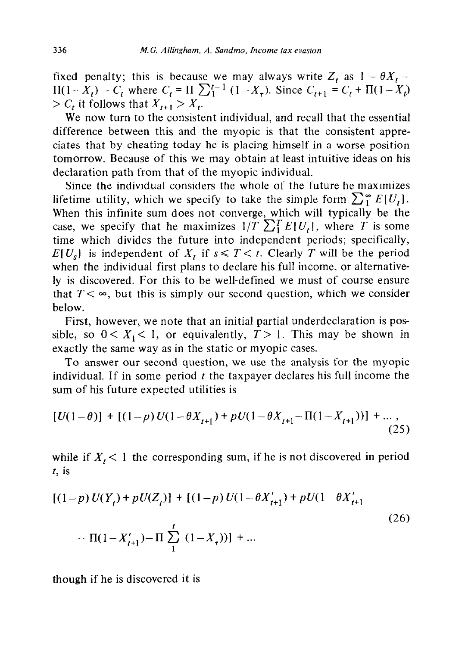fixed penalty; this is because we may always write  $Z_t$  as  $1 - \theta X_t$  - $\Pi(1-X_t) - C_t$  where  $C_t = \Pi \sum_{1}^{t-1} (1-X_t)$ . Since  $C_{t+1} = C_t + \Pi$  $> C_t$ , it follows that  $X_{t+1} > X_t$ .

We now turn to the consistent individual, and recall that the essential difference between this and the myopic is that the consistent appreciates that by cheating today he is placing himself in a worse position tomorrow. Because of this we may obtain at least intuitive ideas on his declaration path from that of the myopic individual.

Since the individual considers the whole of the future he maximizes lifetime utility, which we specify to take the simple form  $\sum_{i=1}^{\infty} E[U_i]$ . When this infinite sum does not converge, which will typically be the case, we specify that he maximizes  $1/T \sum_{i=1}^{r} E[U_i]$ , where *T* is some time which divides the future into independent periods; specifically,  $E[U_s]$  is independent of  $X_t$  if  $s \leq T < t$ . Clearly T will be the period when the individual first plans to declare his full income, or alternatively is discovered. For this to be well-defined we must of course ensure that  $T < \infty$ , but this is simply our second question, which we consider below.

First, however, we note that an initial partial underdeclaration is possible, so  $0 \lt X_1 \lt 1$ , or equivalently,  $T > 1$ . This may be shown in exactly the same way as in the static or myopic cases.

To answer our second question, we use the analysis for the myopic individual. If in some period  $t$  the taxpayer declares his full income the sum of his future expected utilities is

$$
[U(1-\theta)] + [(1-p)U(1-\theta X_{t+1}) + pU(1-\theta X_{t+1} - \Pi(1-X_{t+1}))] + ... ,
$$
\n(25)

while if  $X_t < 1$  the corresponding sum, if he is not discovered in period t, is

$$
[(1-p)U(Y_t) + pU(Z_t)] + [(1-p)U(1 - \theta X'_{t+1}) + pU(1 - \theta X'_{t+1})
$$
  
-  $\Pi(1 - X'_{t+1}) - \Pi \sum_{i=1}^{t} (1 - X_i)] + ...$  (26)

though if he is discovered it is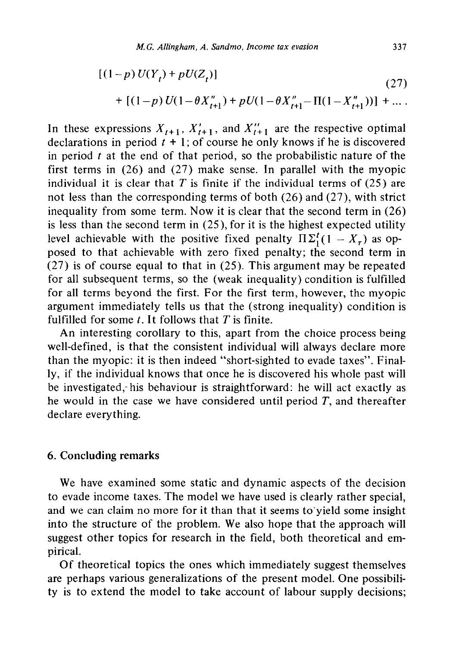$$
[(1-p)U(Y_t) + pU(Z_t)]
$$
\n
$$
+ [(1-p)U(1 - \theta X_{t+1}^{"}) + pU(1 - \theta X_{t+1}^{"}- \Pi(1 - X_{t+1}^{"}))] + ...
$$
\n(27)

In these expressions  $X_{t+1}$ ,  $X'_{t+1}$ , and  $X''_{t+1}$  are the respective optimal declarations in period  $t + 1$ ; of course he only knows if he is discovered in period  $t$  at the end of that period, so the probabilistic nature of the first terms in (26) and (27) make sense. In parallel with the myopic individual it is clear that *T* is finite if the individual terms of (25) are not less than the corresponding terms of both (26) and (27), with strict inequality from some term. Now it is clear that the second term in (26) is less than the second term in (25), for it is the highest expected utility level achievable with the positive fixed penalty  $\Pi \Sigma_1^t (1 - X_\tau)$  as opposed to that achievable with zero fixed penalty; the second term in (27) is of course equal to that in (25). This argument may be repeated for all subsequent terms, so the (weak inequality) condition is fulfilled for all terms beyond the first. For the first term, however, the myopic argument immediately tells us that the (strong inequality) condition is fulfilled for some t. It follows that *T* is finite.

An interesting corollary to this, apart from the choice process being well-defined, is that the consistent individual will always declare more than the myopic: it is then indeed "short-sighted to evade taxes". Finally, if the individual knows that once he is discovered his whole past will be investigated,- his behaviour is straightforward: he will act exactly as he would in the case we have considered until period *T,* and thereafter declare everything.

#### 6. **Concluding remarks**

We have examined some static and dynamic aspects of the decision to evade income taxes. The model we have used is clearly rather special, and we can claim no more for it than that it seems to'yield some insight into the structure of the problem. We also hope that the approach will suggest other topics for research in the field, both theoretical and empirical.

Of theoretical topics the ones which immediately suggest themselves are perhaps various generalizations of the present model. One possibility is to extend the model to take account of labour supply decisions;